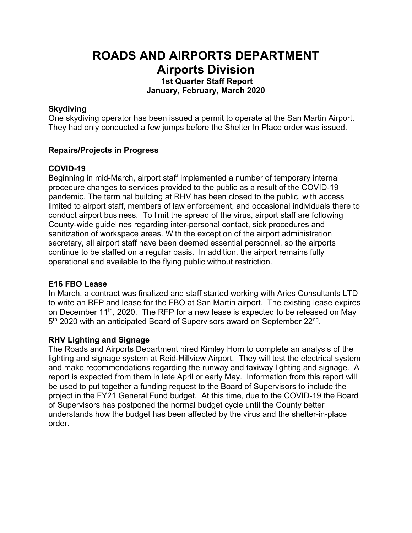# **ROADS AND AIRPORTS DEPARTMENT Airports Division**

**1st Quarter Staff Report January, February, March 2020**

### **Skydiving**

One skydiving operator has been issued a permit to operate at the San Martin Airport. They had only conducted a few jumps before the Shelter In Place order was issued.

## **Repairs/Projects in Progress**

## **COVID-19**

Beginning in mid-March, airport staff implemented a number of temporary internal procedure changes to services provided to the public as a result of the COVID-19 pandemic. The terminal building at RHV has been closed to the public, with access limited to airport staff, members of law enforcement, and occasional individuals there to conduct airport business. To limit the spread of the virus, airport staff are following County-wide guidelines regarding inter-personal contact, sick procedures and sanitization of workspace areas. With the exception of the airport administration secretary, all airport staff have been deemed essential personnel, so the airports continue to be staffed on a regular basis. In addition, the airport remains fully operational and available to the flying public without restriction.

# **E16 FBO Lease**

In March, a contract was finalized and staff started working with Aries Consultants LTD to write an RFP and lease for the FBO at San Martin airport. The existing lease expires on December 11th, 2020. The RFP for a new lease is expected to be released on May 5<sup>th</sup> 2020 with an anticipated Board of Supervisors award on September 22<sup>nd</sup>.

# **RHV Lighting and Signage**

The Roads and Airports Department hired Kimley Horn to complete an analysis of the lighting and signage system at Reid-Hillview Airport. They will test the electrical system and make recommendations regarding the runway and taxiway lighting and signage. A report is expected from them in late April or early May. Information from this report will be used to put together a funding request to the Board of Supervisors to include the project in the FY21 General Fund budget. At this time, due to the COVID-19 the Board of Supervisors has postponed the normal budget cycle until the County better understands how the budget has been affected by the virus and the shelter-in-place order.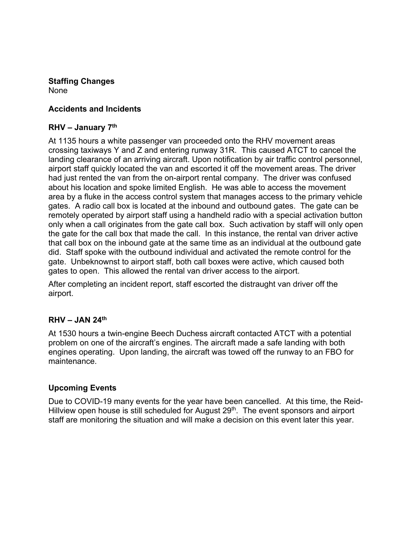# **Staffing Changes**

None

# **Accidents and Incidents**

# **RHV – January 7th**

At 1135 hours a white passenger van proceeded onto the RHV movement areas crossing taxiways Y and Z and entering runway 31R. This caused ATCT to cancel the landing clearance of an arriving aircraft. Upon notification by air traffic control personnel, airport staff quickly located the van and escorted it off the movement areas. The driver had just rented the van from the on-airport rental company. The driver was confused about his location and spoke limited English. He was able to access the movement area by a fluke in the access control system that manages access to the primary vehicle gates. A radio call box is located at the inbound and outbound gates. The gate can be remotely operated by airport staff using a handheld radio with a special activation button only when a call originates from the gate call box. Such activation by staff will only open the gate for the call box that made the call. In this instance, the rental van driver active that call box on the inbound gate at the same time as an individual at the outbound gate did. Staff spoke with the outbound individual and activated the remote control for the gate. Unbeknownst to airport staff, both call boxes were active, which caused both gates to open. This allowed the rental van driver access to the airport.

After completing an incident report, staff escorted the distraught van driver off the airport.

### **RHV – JAN 24th**

At 1530 hours a twin-engine Beech Duchess aircraft contacted ATCT with a potential problem on one of the aircraft's engines. The aircraft made a safe landing with both engines operating. Upon landing, the aircraft was towed off the runway to an FBO for maintenance.

### **Upcoming Events**

Due to COVID-19 many events for the year have been cancelled. At this time, the Reid-Hillview open house is still scheduled for August 29<sup>th</sup>. The event sponsors and airport staff are monitoring the situation and will make a decision on this event later this year.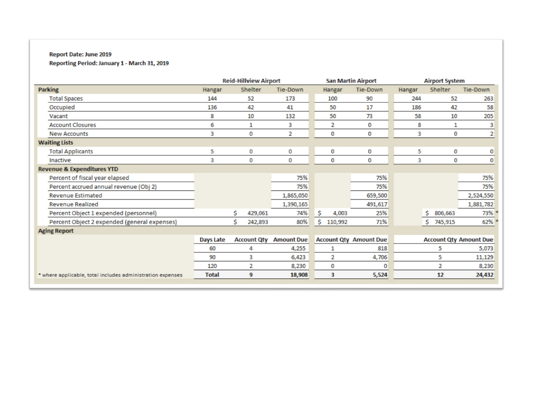#### Report Date: June 2019

Reporting Period: January 1 - March 31, 2019

|                                                            | <b>Reid-Hillview Airport</b>    |               |                   | <b>San Martin Airport</b>     |                 | <b>Airport System</b>         |                |                |
|------------------------------------------------------------|---------------------------------|---------------|-------------------|-------------------------------|-----------------|-------------------------------|----------------|----------------|
| <b>Parking</b>                                             | Hangar                          | Shelter       | <b>Tie-Down</b>   | Hangar                        | <b>Tie-Down</b> | Hangar                        | Shelter        | Tie-Down       |
| <b>Total Spaces</b>                                        | 144                             | 52            | 173               | 100                           | 90              | 244                           | 52             | 263            |
| Occupied                                                   | 136                             | 42            | 41                | 50                            | 17              | 186                           | 42             | 58             |
| Vacant                                                     | 8                               | 10            | 132               | 50                            | 73              | 58                            | 10             | 205            |
| <b>Account Closures</b>                                    | 6                               | 1             | 3                 | 2                             | 0               | 8                             | 1              | 3              |
| <b>New Accounts</b>                                        | 3                               | 0             | $\overline{2}$    | 0                             | 0               | 3                             | 0              | $\overline{2}$ |
| <b>Waiting Lists</b>                                       |                                 |               |                   |                               |                 |                               |                |                |
| <b>Total Applicants</b>                                    | 5                               | 0             | 0                 | 0                             | 0               | 5                             | 0              | $\mathbf 0$    |
| Inactive                                                   | 3                               | 0             | 0                 | 0                             | 0               | 3                             | 0              | 0              |
| <b>Revenue &amp; Expenditures YTD</b>                      |                                 |               |                   |                               |                 |                               |                |                |
| Percent of fiscal year elapsed                             |                                 |               | 75%               |                               | 75%             |                               |                | 75%            |
| Percent accrued annual revenue (Obj 2)                     |                                 |               | 75%               |                               | 75%             |                               |                | 75%            |
| <b>Revenue Estimated</b>                                   |                                 |               | 1,865,050         |                               | 659,500         |                               |                | 2,524,550      |
| <b>Revenue Realized</b>                                    |                                 |               | 1,390,165         |                               | 491,617         |                               |                | 1,881,782      |
| Percent Object 1 expended (personnel)                      |                                 | \$<br>429,061 | 74%               | \$<br>4,003                   | 25%             |                               | S<br>806,663   | 73%            |
| Percent Object 2 expended (general expenses)               |                                 | \$<br>242,893 | 80%               | \$<br>110,992                 | 71%             |                               | Ś.<br>745,915  | 62%            |
| <b>Aging Report</b>                                        |                                 |               |                   |                               |                 |                               |                |                |
|                                                            | <b>Account Qty</b><br>Days Late |               | <b>Amount Due</b> | <b>Account Qty Amount Due</b> |                 | <b>Account Qty Amount Due</b> |                |                |
|                                                            | 60                              | 4             | 4,255             | 1                             | 818             |                               | 5              | 5,073          |
|                                                            | 90                              | 3             | 6,423             | 2                             | 4,706           |                               | 5              | 11,129         |
|                                                            | 120                             | 2             | 8,230             | 0                             | 0               |                               | $\overline{2}$ | 8,230          |
| * where applicable, total includes administration expenses | <b>Total</b>                    | 9             | 18,908            | 3                             | 5,524           |                               | 12             | 24,432         |
|                                                            |                                 |               |                   |                               |                 |                               |                |                |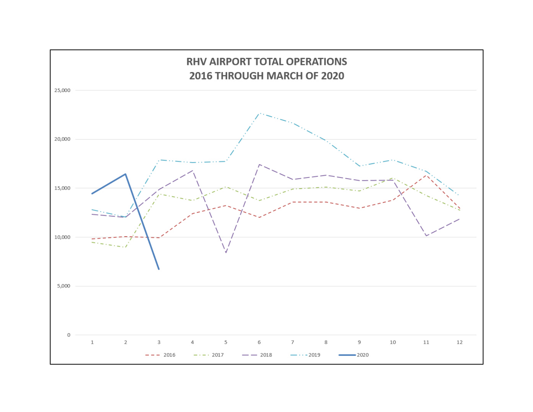